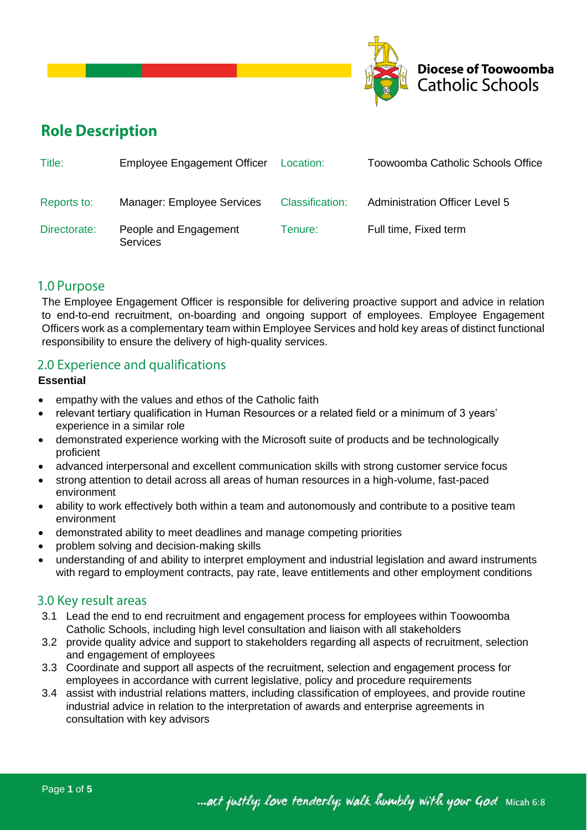

# **Role Description**

| Title:       | <b>Employee Engagement Officer</b>       | Location:              | Toowoomba Catholic Schools Office     |
|--------------|------------------------------------------|------------------------|---------------------------------------|
| Reports to:  | Manager: Employee Services               | <b>Classification:</b> | <b>Administration Officer Level 5</b> |
| Directorate: | People and Engagement<br><b>Services</b> | Tenure: I              | Full time, Fixed term                 |

### 1.0 Purpose

The Employee Engagement Officer is responsible for delivering proactive support and advice in relation to end-to-end recruitment, on-boarding and ongoing support of employees. Employee Engagement Officers work as a complementary team within Employee Services and hold key areas of distinct functional responsibility to ensure the delivery of high-quality services.

## 2.0 Experience and qualifications

### **Essential**

- empathy with the values and ethos of the Catholic faith
- relevant tertiary qualification in Human Resources or a related field or a minimum of 3 years' experience in a similar role
- demonstrated experience working with the Microsoft suite of products and be technologically proficient
- advanced interpersonal and excellent communication skills with strong customer service focus
- strong attention to detail across all areas of human resources in a high-volume, fast-paced environment
- ability to work effectively both within a team and autonomously and contribute to a positive team environment
- demonstrated ability to meet deadlines and manage competing priorities
- problem solving and decision-making skills
- understanding of and ability to interpret employment and industrial legislation and award instruments with regard to employment contracts, pay rate, leave entitlements and other employment conditions

## 3.0 Key result areas

- 3.1 Lead the end to end recruitment and engagement process for employees within Toowoomba Catholic Schools, including high level consultation and liaison with all stakeholders
- 3.2 provide quality advice and support to stakeholders regarding all aspects of recruitment, selection and engagement of employees
- 3.3 Coordinate and support all aspects of the recruitment, selection and engagement process for employees in accordance with current legislative, policy and procedure requirements
- 3.4 assist with industrial relations matters, including classification of employees, and provide routine industrial advice in relation to the interpretation of awards and enterprise agreements in consultation with key advisors

... act justly; love tenderly; walk humbly with your God Micah 6:8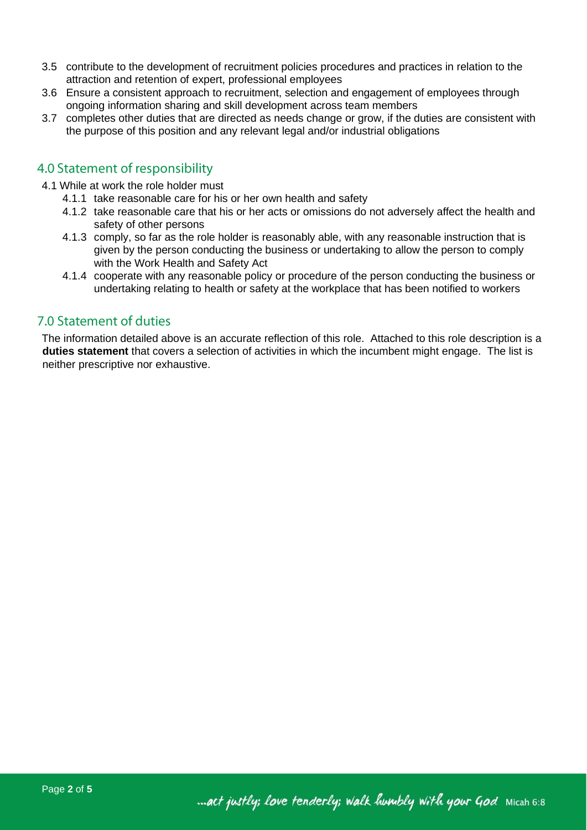- 3.5 contribute to the development of recruitment policies procedures and practices in relation to the attraction and retention of expert, professional employees
- 3.6 Ensure a consistent approach to recruitment, selection and engagement of employees through ongoing information sharing and skill development across team members
- 3.7 completes other duties that are directed as needs change or grow, if the duties are consistent with the purpose of this position and any relevant legal and/or industrial obligations

## 4.0 Statement of responsibility

- 4.1 While at work the role holder must
	- 4.1.1 take reasonable care for his or her own health and safety
	- 4.1.2 take reasonable care that his or her acts or omissions do not adversely affect the health and safety of other persons
	- 4.1.3 comply, so far as the role holder is reasonably able, with any reasonable instruction that is given by the person conducting the business or undertaking to allow the person to comply with the Work Health and Safety Act
	- 4.1.4 cooperate with any reasonable policy or procedure of the person conducting the business or undertaking relating to health or safety at the workplace that has been notified to workers

## 7.0 Statement of duties

The information detailed above is an accurate reflection of this role. Attached to this role description is a **duties statement** that covers a selection of activities in which the incumbent might engage. The list is neither prescriptive nor exhaustive.

... act justly; love tenderly; walk humbly with your God Micah 6:8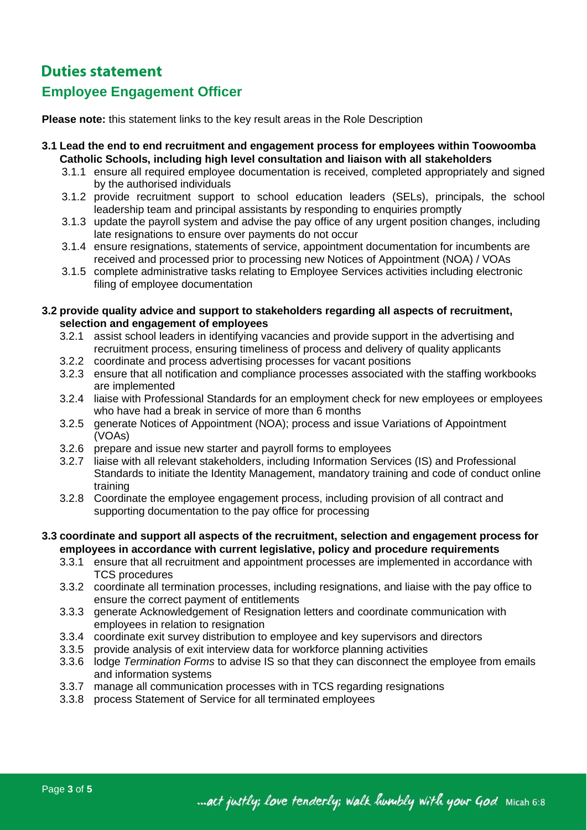## **Duties statement**

## **Employee Engagement Officer**

**Please note:** this statement links to the key result areas in the Role Description

- **3.1 Lead the end to end recruitment and engagement process for employees within Toowoomba Catholic Schools, including high level consultation and liaison with all stakeholders**
	- 3.1.1 ensure all required employee documentation is received, completed appropriately and signed by the authorised individuals
	- 3.1.2 provide recruitment support to school education leaders (SELs), principals, the school leadership team and principal assistants by responding to enquiries promptly
	- 3.1.3 update the payroll system and advise the pay office of any urgent position changes, including late resignations to ensure over payments do not occur
	- 3.1.4 ensure resignations, statements of service, appointment documentation for incumbents are received and processed prior to processing new Notices of Appointment (NOA) / VOAs
	- 3.1.5 complete administrative tasks relating to Employee Services activities including electronic filing of employee documentation

### **3.2 provide quality advice and support to stakeholders regarding all aspects of recruitment, selection and engagement of employees**

- 3.2.1 assist school leaders in identifying vacancies and provide support in the advertising and recruitment process, ensuring timeliness of process and delivery of quality applicants
- 3.2.2 coordinate and process advertising processes for vacant positions
- 3.2.3 ensure that all notification and compliance processes associated with the staffing workbooks are implemented
- 3.2.4 liaise with Professional Standards for an employment check for new employees or employees who have had a break in service of more than 6 months
- 3.2.5 generate Notices of Appointment (NOA); process and issue Variations of Appointment (VOAs)
- 3.2.6 prepare and issue new starter and payroll forms to employees
- 3.2.7 liaise with all relevant stakeholders, including Information Services (IS) and Professional Standards to initiate the Identity Management, mandatory training and code of conduct online training
- 3.2.8 Coordinate the employee engagement process, including provision of all contract and supporting documentation to the pay office for processing

#### **3.3 coordinate and support all aspects of the recruitment, selection and engagement process for employees in accordance with current legislative, policy and procedure requirements**

- 3.3.1 ensure that all recruitment and appointment processes are implemented in accordance with TCS procedures
- 3.3.2 coordinate all termination processes, including resignations, and liaise with the pay office to ensure the correct payment of entitlements
- 3.3.3 generate Acknowledgement of Resignation letters and coordinate communication with employees in relation to resignation
- 3.3.4 coordinate exit survey distribution to employee and key supervisors and directors
- 3.3.5 provide analysis of exit interview data for workforce planning activities
- 3.3.6 lodge *Termination Forms* to advise IS so that they can disconnect the employee from emails and information systems
- 3.3.7 manage all communication processes with in TCS regarding resignations
- 3.3.8 process Statement of Service for all terminated employees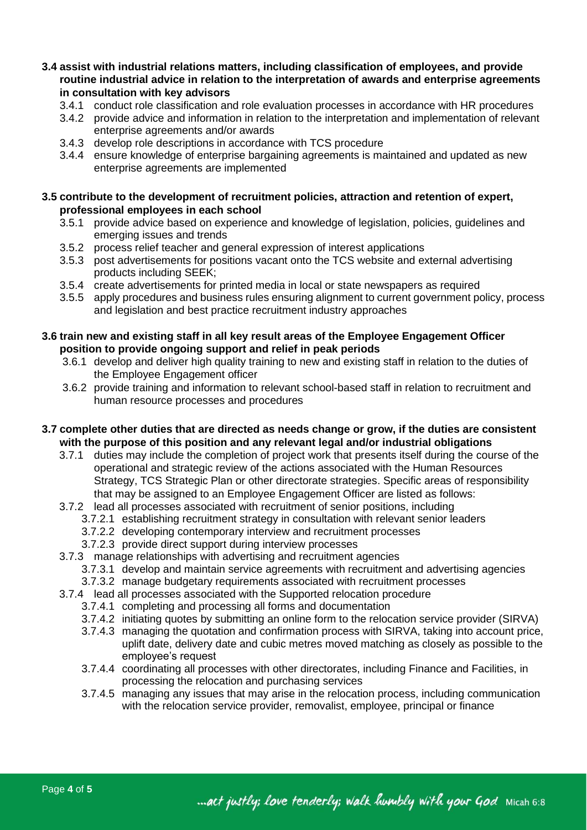- **3.4 assist with industrial relations matters, including classification of employees, and provide routine industrial advice in relation to the interpretation of awards and enterprise agreements in consultation with key advisors**
	- 3.4.1 conduct role classification and role evaluation processes in accordance with HR procedures
	- 3.4.2 provide advice and information in relation to the interpretation and implementation of relevant enterprise agreements and/or awards
	- 3.4.3 develop role descriptions in accordance with TCS procedure
	- 3.4.4 ensure knowledge of enterprise bargaining agreements is maintained and updated as new enterprise agreements are implemented

### **3.5 contribute to the development of recruitment policies, attraction and retention of expert, professional employees in each school**

- 3.5.1 provide advice based on experience and knowledge of legislation, policies, guidelines and emerging issues and trends
- 3.5.2 process relief teacher and general expression of interest applications
- 3.5.3 post advertisements for positions vacant onto the TCS website and external advertising products including SEEK;
- 3.5.4 create advertisements for printed media in local or state newspapers as required
- 3.5.5 apply procedures and business rules ensuring alignment to current government policy, process and legislation and best practice recruitment industry approaches

### **3.6 train new and existing staff in all key result areas of the Employee Engagement Officer position to provide ongoing support and relief in peak periods**

- 3.6.1 develop and deliver high quality training to new and existing staff in relation to the duties of the Employee Engagement officer
- 3.6.2 provide training and information to relevant school-based staff in relation to recruitment and human resource processes and procedures
- **3.7 complete other duties that are directed as needs change or grow, if the duties are consistent with the purpose of this position and any relevant legal and/or industrial obligations** 
	- 3.7.1 duties may include the completion of project work that presents itself during the course of the operational and strategic review of the actions associated with the Human Resources Strategy, TCS Strategic Plan or other directorate strategies. Specific areas of responsibility that may be assigned to an Employee Engagement Officer are listed as follows:
	- 3.7.2 lead all processes associated with recruitment of senior positions, including
		- 3.7.2.1 establishing recruitment strategy in consultation with relevant senior leaders
		- 3.7.2.2 developing contemporary interview and recruitment processes
		- 3.7.2.3 provide direct support during interview processes
	- 3.7.3 manage relationships with advertising and recruitment agencies
		- 3.7.3.1 develop and maintain service agreements with recruitment and advertising agencies
		- 3.7.3.2 manage budgetary requirements associated with recruitment processes
	- 3.7.4 lead all processes associated with the Supported relocation procedure
		- 3.7.4.1 completing and processing all forms and documentation
		- 3.7.4.2 initiating quotes by submitting an online form to the relocation service provider (SIRVA)
		- 3.7.4.3 managing the quotation and confirmation process with SIRVA, taking into account price, uplift date, delivery date and cubic metres moved matching as closely as possible to the employee's request
		- 3.7.4.4 coordinating all processes with other directorates, including Finance and Facilities, in processing the relocation and purchasing services
		- 3.7.4.5 managing any issues that may arise in the relocation process, including communication with the relocation service provider, removalist, employee, principal or finance

... act justly; love tenderly; walk humbly with your God Micah 6:8